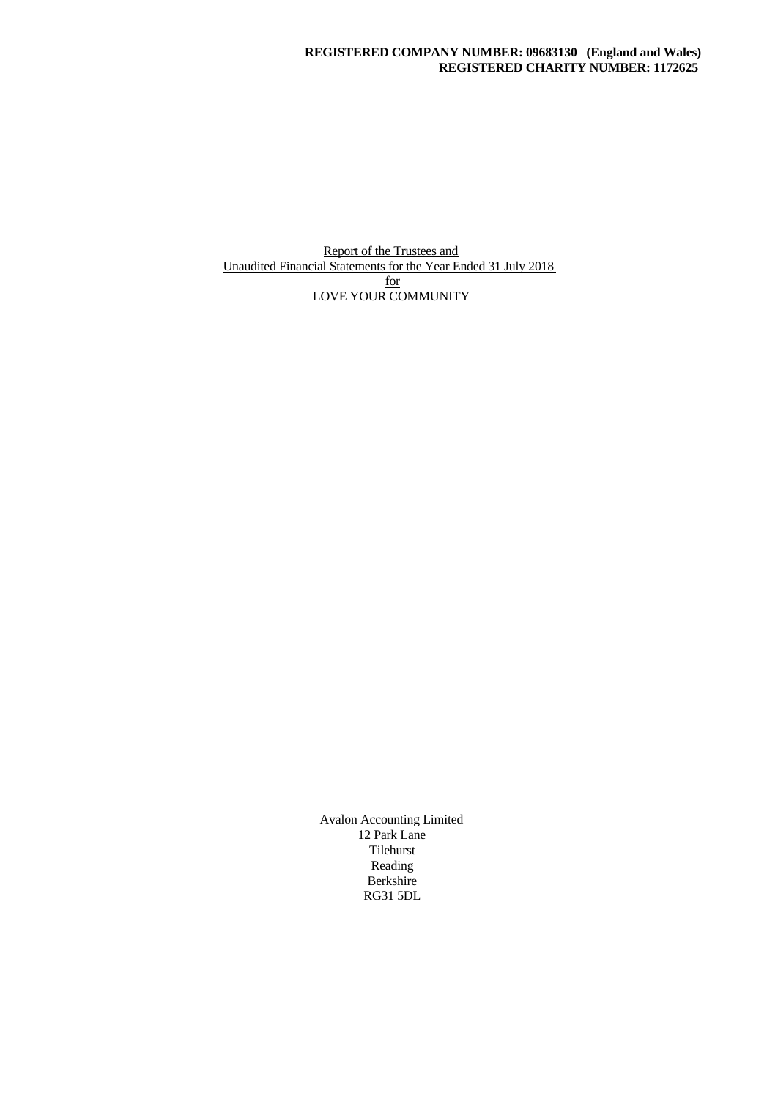Report of the Trustees and Unaudited Financial Statements for the Year Ended 31 July 2018 for the set of  $\frac{1}{2}$ LOVE YOUR COMMUNITY

> Avalon Accounting Limited 12 Park Lane Tilehurst Reading Berkshire RG31 5DL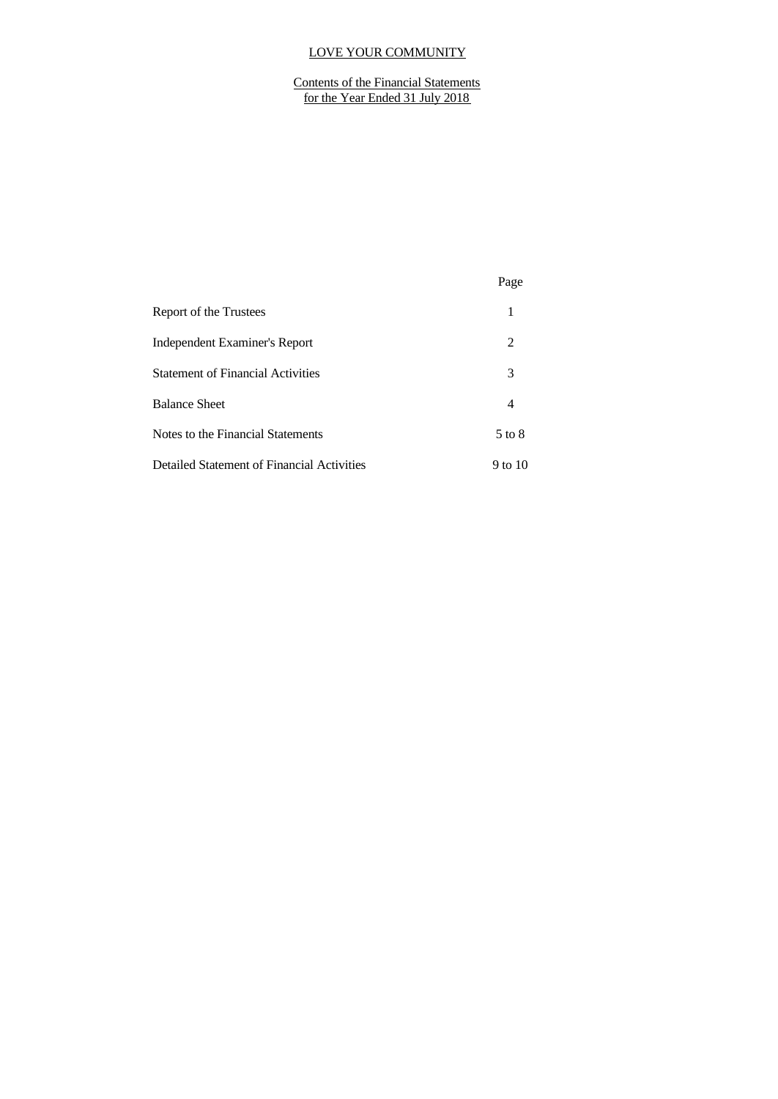Contents of the Financial Statements for the Year Ended 31 July 2018

|                                            | Page    |
|--------------------------------------------|---------|
| Report of the Trustees                     | 1       |
| Independent Examiner's Report              | 2       |
| <b>Statement of Financial Activities</b>   | 3       |
| <b>Balance Sheet</b>                       | 4       |
| Notes to the Financial Statements          | 5 to 8  |
| Detailed Statement of Financial Activities | 9 to 10 |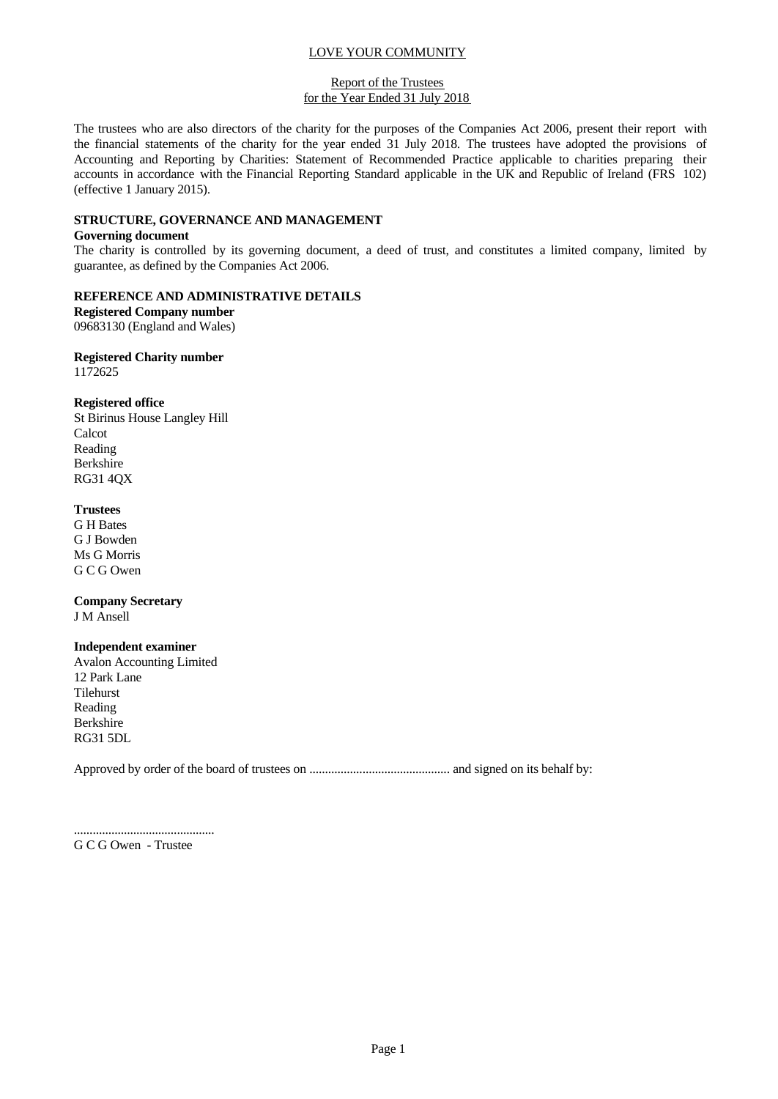#### Report of the Trustees for the Year Ended 31 July 2018

The trustees who are also directors of the charity for the purposes of the Companies Act 2006, present their report with the financial statements of the charity for the year ended 31 July 2018. The trustees have adopted the provisions of Accounting and Reporting by Charities: Statement of Recommended Practice applicable to charities preparing their accounts in accordance with the Financial Reporting Standard applicable in the UK and Republic of Ireland (FRS 102) (effective 1 January 2015).

## **STRUCTURE, GOVERNANCE AND MANAGEMENT**

### **Governing document**

The charity is controlled by its governing document, a deed of trust, and constitutes a limited company, limited by guarantee, as defined by the Companies Act 2006.

### **REFERENCE AND ADMINISTRATIVE DETAILS**

**Registered Company number** 09683130 (England and Wales)

#### **Registered Charity number** 1172625

### **Registered office**

St Birinus House Langley Hill Calcot Reading Berkshire RG31 4QX

### **Trustees**

G H Bates G J Bowden Ms G Morris G C G Owen

#### **Company Secretary** J M Ansell

# **Independent examiner**

Avalon Accounting Limited 12 Park Lane Tilehurst Reading Berkshire RG31 5DL

Approved by order of the board of trustees on ............................................. and signed on its behalf by:

............................................. G C G Owen - Trustee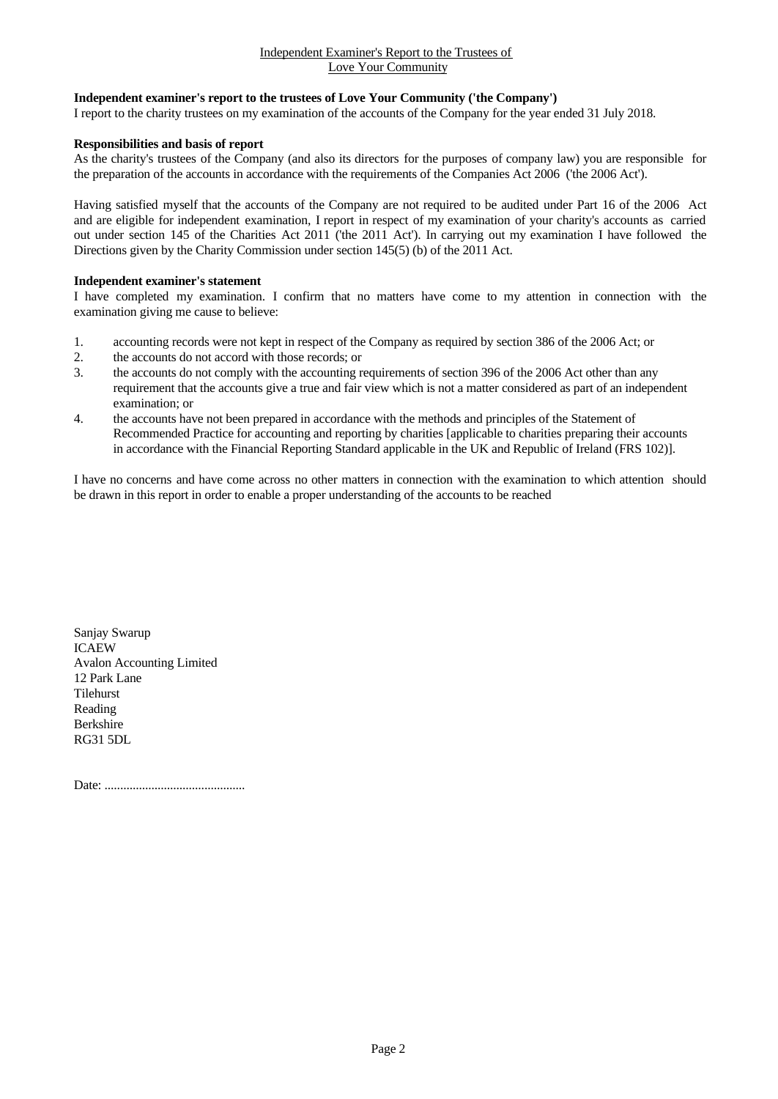#### Independent Examiner's Report to the Trustees of Love Your Community

## **Independent examiner's report to the trustees of Love Your Community ('the Company')**

I report to the charity trustees on my examination of the accounts of the Company for the year ended 31 July 2018.

#### **Responsibilities and basis of report**

As the charity's trustees of the Company (and also its directors for the purposes of company law) you are responsible for the preparation of the accounts in accordance with the requirements of the Companies Act 2006 ('the 2006 Act').

Having satisfied myself that the accounts of the Company are not required to be audited under Part 16 of the 2006 Act and are eligible for independent examination, I report in respect of my examination of your charity's accounts as carried out under section 145 of the Charities Act 2011 ('the 2011 Act'). In carrying out my examination I have followed the Directions given by the Charity Commission under section 145(5) (b) of the 2011 Act.

#### **Independent examiner's statement**

I have completed my examination. I confirm that no matters have come to my attention in connection with the examination giving me cause to believe:

- 1. accounting records were not kept in respect of the Company as required by section 386 of the 2006 Act; or
- 2. the accounts do not accord with those records; or
- 3. the accounts do not comply with the accounting requirements of section 396 of the 2006 Act other than any requirement that the accounts give a true and fair view which is not a matter considered as part of an independent examination; or
- 4. the accounts have not been prepared in accordance with the methods and principles of the Statement of Recommended Practice for accounting and reporting by charities [applicable to charities preparing their accounts in accordance with the Financial Reporting Standard applicable in the UK and Republic of Ireland (FRS 102)].

I have no concerns and have come across no other matters in connection with the examination to which attention should be drawn in this report in order to enable a proper understanding of the accounts to be reached

Sanjay Swarup ICAEW Avalon Accounting Limited 12 Park Lane Tilehurst Reading Berkshire RG31 5DL

Date: .............................................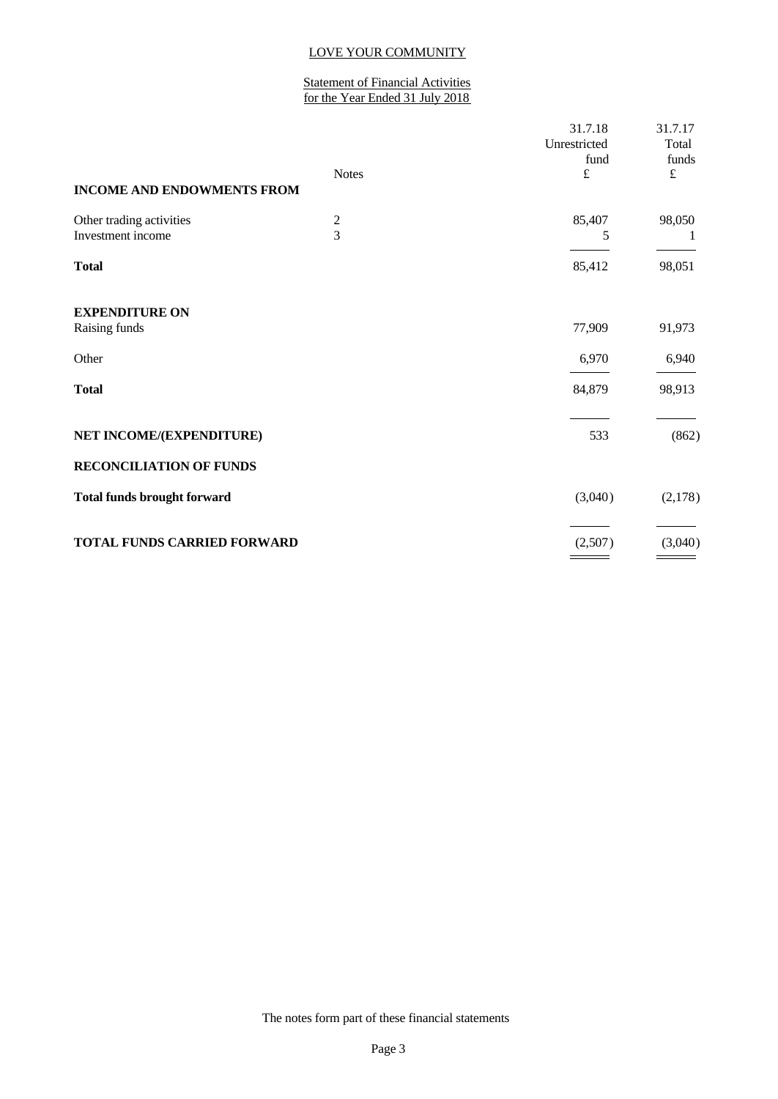### Statement of Financial Activities for the Year Ended 31 July 2018

| <b>Notes</b>  | 31.7.18<br>Unrestricted<br>fund<br>£ | 31.7.17<br>Total<br>funds<br>$\pounds$ |
|---------------|--------------------------------------|----------------------------------------|
| $\frac{2}{3}$ | 85,407<br>5                          | 98,050<br>1                            |
|               | 85,412                               | 98,051                                 |
|               | 77,909                               | 91,973                                 |
|               | 6,970                                | 6,940                                  |
|               | 84,879                               | 98,913                                 |
|               | 533                                  | (862)                                  |
|               |                                      |                                        |
|               | (3,040)                              | (2,178)                                |
|               | (2,507)                              | (3,040)                                |
|               |                                      |                                        |

The notes form part of these financial statements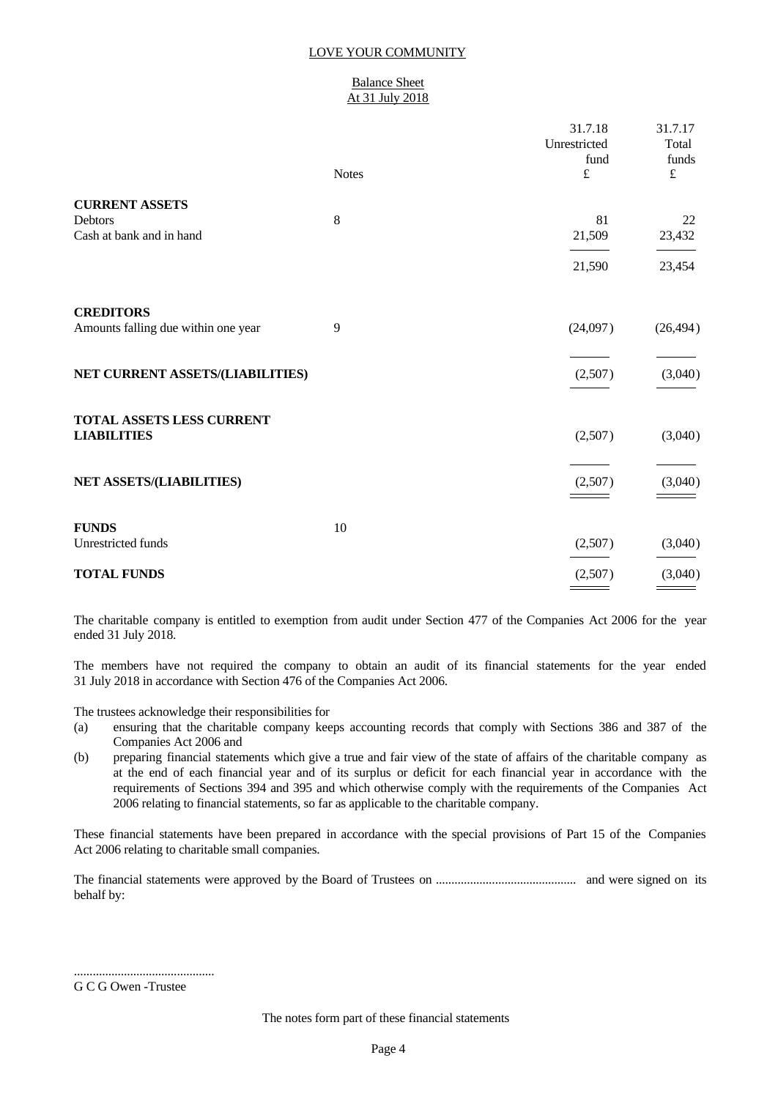#### Balance Sheet At 31 July 2018

|                                                              | <b>Notes</b> | 31.7.18<br>Unrestricted<br>fund<br>$\pounds$ | 31.7.17<br>Total<br>funds<br>$\pounds$ |
|--------------------------------------------------------------|--------------|----------------------------------------------|----------------------------------------|
| <b>CURRENT ASSETS</b><br>Debtors<br>Cash at bank and in hand | $8\,$        | 81<br>21,509                                 | 22<br>23,432                           |
|                                                              |              | 21,590                                       | 23,454                                 |
| <b>CREDITORS</b><br>Amounts falling due within one year      | 9            | (24,097)                                     | (26, 494)                              |
| NET CURRENT ASSETS/(LIABILITIES)                             |              | (2,507)                                      | (3,040)                                |
| TOTAL ASSETS LESS CURRENT<br><b>LIABILITIES</b>              |              | (2,507)                                      | (3,040)                                |
| NET ASSETS/(LIABILITIES)                                     |              | (2,507)                                      | (3,040)                                |
| <b>FUNDS</b><br>Unrestricted funds                           | 10           | (2,507)                                      | (3,040)                                |
| <b>TOTAL FUNDS</b>                                           |              | (2,507)                                      | (3,040)                                |

The charitable company is entitled to exemption from audit under Section 477 of the Companies Act 2006 for the year ended 31 July 2018.

The members have not required the company to obtain an audit of its financial statements for the year ended 31 July 2018 in accordance with Section 476 of the Companies Act 2006.

The trustees acknowledge their responsibilities for

- (a) ensuring that the charitable company keeps accounting records that comply with Sections 386 and 387 of the Companies Act 2006 and
- (b) preparing financial statements which give a true and fair view of the state of affairs of the charitable company as at the end of each financial year and of its surplus or deficit for each financial year in accordance with the requirements of Sections 394 and 395 and which otherwise comply with the requirements of the Companies Act 2006 relating to financial statements, so far as applicable to the charitable company.

These financial statements have been prepared in accordance with the special provisions of Part 15 of the Companies Act 2006 relating to charitable small companies.

The financial statements were approved by the Board of Trustees on ............................................. and were signed on its behalf by:

G C G Owen -Trustee

.............................................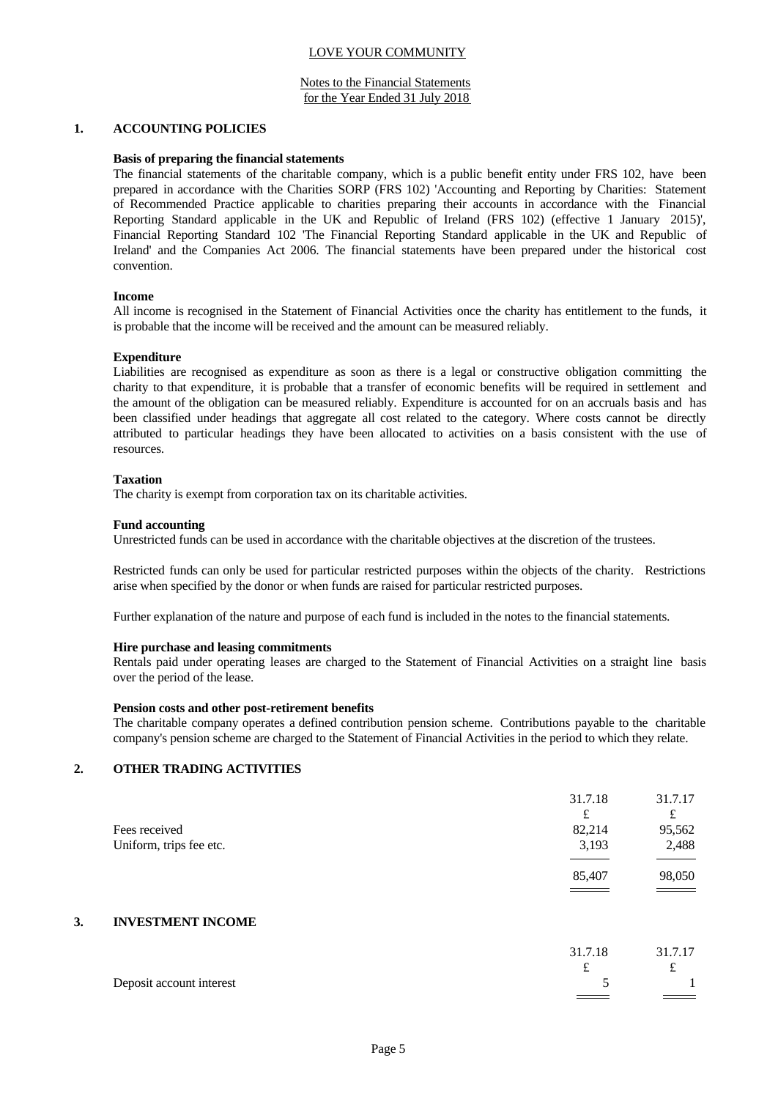#### Notes to the Financial Statements for the Year Ended 31 July 2018

#### **1. ACCOUNTING POLICIES**

#### **Basis of preparing the financial statements**

The financial statements of the charitable company, which is a public benefit entity under FRS 102, have been prepared in accordance with the Charities SORP (FRS 102) 'Accounting and Reporting by Charities: Statement of Recommended Practice applicable to charities preparing their accounts in accordance with the Financial Reporting Standard applicable in the UK and Republic of Ireland (FRS 102) (effective 1 January 2015)', Financial Reporting Standard 102 'The Financial Reporting Standard applicable in the UK and Republic of Ireland' and the Companies Act 2006. The financial statements have been prepared under the historical cost convention.

#### **Income**

All income is recognised in the Statement of Financial Activities once the charity has entitlement to the funds, it is probable that the income will be received and the amount can be measured reliably.

### **Expenditure**

Liabilities are recognised as expenditure as soon as there is a legal or constructive obligation committing the charity to that expenditure, it is probable that a transfer of economic benefits will be required in settlement and the amount of the obligation can be measured reliably. Expenditure is accounted for on an accruals basis and has been classified under headings that aggregate all cost related to the category. Where costs cannot be directly attributed to particular headings they have been allocated to activities on a basis consistent with the use of resources.

#### **Taxation**

The charity is exempt from corporation tax on its charitable activities.

#### **Fund accounting**

Unrestricted funds can be used in accordance with the charitable objectives at the discretion of the trustees.

Restricted funds can only be used for particular restricted purposes within the objects of the charity. Restrictions arise when specified by the donor or when funds are raised for particular restricted purposes.

Further explanation of the nature and purpose of each fund is included in the notes to the financial statements.

### **Hire purchase and leasing commitments**

Rentals paid under operating leases are charged to the Statement of Financial Activities on a straight line basis over the period of the lease.

#### **Pension costs and other post-retirement benefits**

The charitable company operates a defined contribution pension scheme. Contributions payable to the charitable company's pension scheme are charged to the Statement of Financial Activities in the period to which they relate.

## **2. OTHER TRADING ACTIVITIES**

|                         | 31.7.18 | 31.7.17 |  |
|-------------------------|---------|---------|--|
|                         | £       | t.      |  |
| Fees received           | 82,214  | 95,562  |  |
| Uniform, trips fee etc. | 3,193   | 2,488   |  |
|                         |         |         |  |
|                         | 85,407  | 98,050  |  |
|                         |         |         |  |

## **3. INVESTMENT INCOME**

|                          | 31.7.18<br>ىم                  | 31.7.17<br>ىم                       |  |
|--------------------------|--------------------------------|-------------------------------------|--|
| Deposit account interest | and the control of the control | $\equiv$ $\equiv$ $\equiv$ $\equiv$ |  |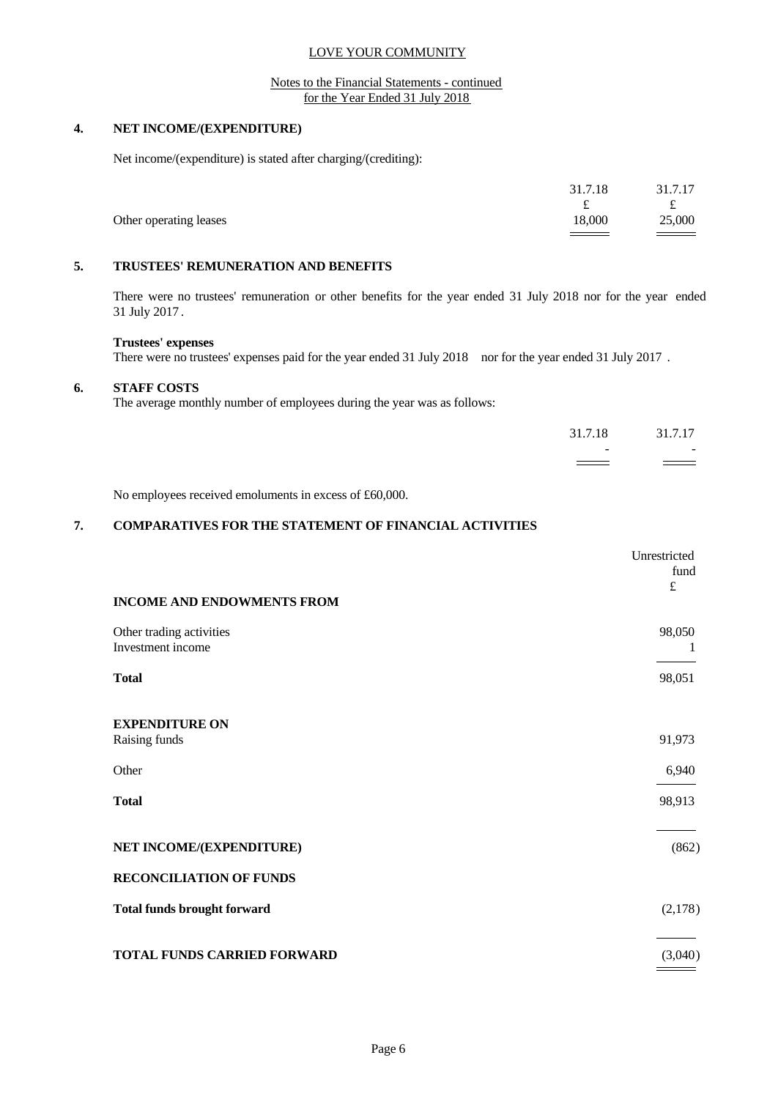#### Notes to the Financial Statements - continued for the Year Ended 31 July 2018

#### **4. NET INCOME/(EXPENDITURE)**

Net income/(expenditure) is stated after charging/(crediting):

|                        | 31.7.18                 | 31.7.17                                |
|------------------------|-------------------------|----------------------------------------|
| Other operating leases | ىم<br>18,000<br>_______ | $\sim$<br>25,000<br>$\hspace{1.5cm} =$ |

# **5. TRUSTEES' REMUNERATION AND BENEFITS**

There were no trustees' remuneration or other benefits for the year ended 31 July 2018 nor for the year ended 31 July 2017 .

#### **Trustees' expenses**

There were no trustees' expenses paid for the year ended 31 July 2018 nor for the year ended 31 July 2017.

### **6. STAFF COSTS**

The average monthly number of employees during the year was as follows:

| 31.7.18<br>31.7.17<br>$\sim$ 100 $\sim$<br>the contract of the contract of the | the contract of the contract of the contract of<br>and the contract of the contract of | $\equiv$ |  |
|--------------------------------------------------------------------------------|----------------------------------------------------------------------------------------|----------|--|
|                                                                                |                                                                                        |          |  |
|                                                                                |                                                                                        |          |  |

No employees received emoluments in excess of £60,000.

## **7. COMPARATIVES FOR THE STATEMENT OF FINANCIAL ACTIVITIES**

|                                                            | Unrestricted<br>fund<br>$\pounds$ |
|------------------------------------------------------------|-----------------------------------|
| <b>INCOME AND ENDOWMENTS FROM</b>                          |                                   |
| Other trading activities<br>Investment income              | 98,050<br>1                       |
| <b>Total</b>                                               | 98,051                            |
| <b>EXPENDITURE ON</b><br>Raising funds                     | 91,973                            |
| Other                                                      | 6,940                             |
| <b>Total</b>                                               | 98,913                            |
| NET INCOME/(EXPENDITURE)<br><b>RECONCILIATION OF FUNDS</b> | (862)                             |
| <b>Total funds brought forward</b>                         | (2,178)                           |
| TOTAL FUNDS CARRIED FORWARD                                | (3,040)                           |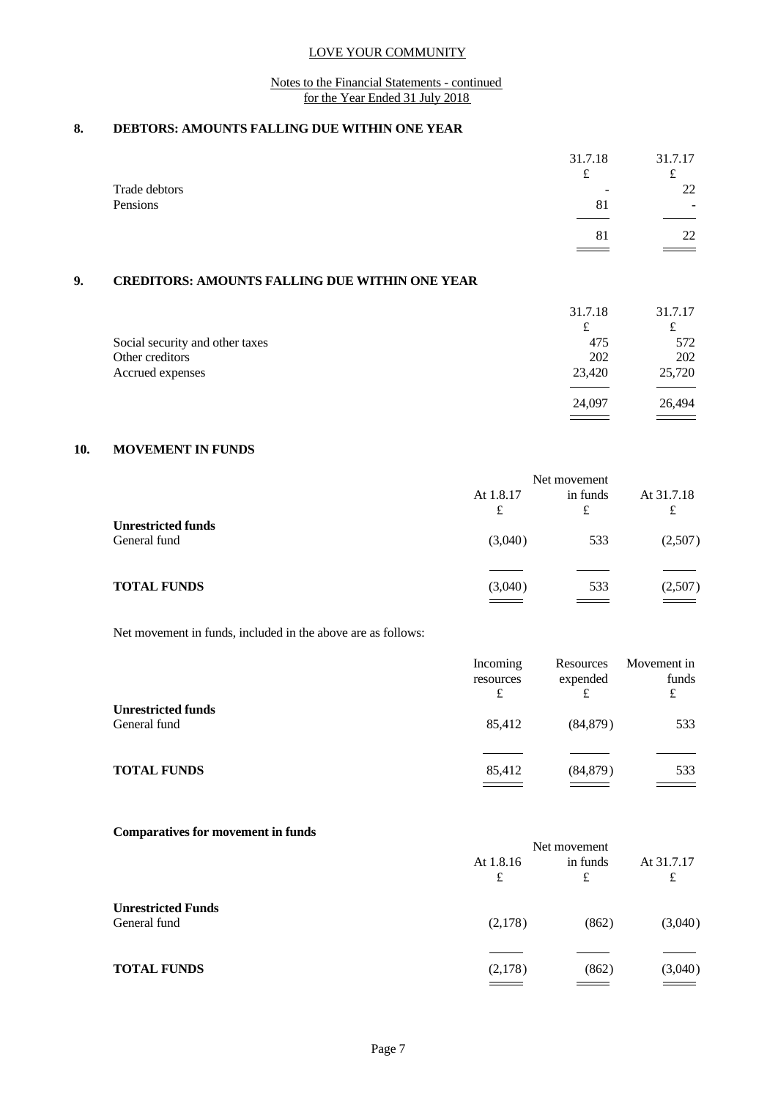### Notes to the Financial Statements - continued for the Year Ended 31 July 2018

# **8. DEBTORS: AMOUNTS FALLING DUE WITHIN ONE YEAR**

|                                                       | 31.7.18 | 31.7.17 |  |
|-------------------------------------------------------|---------|---------|--|
|                                                       | £       | £       |  |
| Trade debtors                                         |         | 22      |  |
| Pensions                                              | 81      |         |  |
|                                                       |         |         |  |
|                                                       | 81      | 22      |  |
|                                                       |         |         |  |
|                                                       |         |         |  |
| <b>CREDITORS: AMOUNTS FALLING DUE WITHIN ONE YEAR</b> |         |         |  |
|                                                       |         |         |  |
|                                                       | 31.7.18 | 31.7.17 |  |
|                                                       | £       | £       |  |
| Social security and other taxes                       | 475     | 572     |  |
| Other creditors                                       | 202     | 202     |  |
| Accrued expenses                                      | 23,420  | 25,720  |  |
|                                                       |         |         |  |
|                                                       | 24,097  | 26,494  |  |
|                                                       |         |         |  |

# **10. MOVEMENT IN FUNDS**

|                                           | Net movement      |               |                     |  |
|-------------------------------------------|-------------------|---------------|---------------------|--|
|                                           | At 1.8.17<br>£    | in funds<br>£ | At 31.7.18<br>£     |  |
| <b>Unrestricted funds</b><br>General fund | (3,040)           | 533           | (2,507)             |  |
| <b>TOTAL FUNDS</b>                        | (3,040)<br>$\sim$ | 533           | $\frac{(2,507)}{2}$ |  |

Net movement in funds, included in the above are as follows:

|                                           | Incoming<br>resources<br>£         | Resources<br>expended<br>£ | Movement in<br>funds<br>£                                                                                                                                                                                                                                                                            |  |
|-------------------------------------------|------------------------------------|----------------------------|------------------------------------------------------------------------------------------------------------------------------------------------------------------------------------------------------------------------------------------------------------------------------------------------------|--|
| <b>Unrestricted funds</b><br>General fund | 85,412                             | (84, 879)                  | 533                                                                                                                                                                                                                                                                                                  |  |
| <b>TOTAL FUNDS</b>                        | 85,412<br>$\overline{\phantom{a}}$ | (84, 879)<br>____          | 533<br>$\frac{1}{2}$ and $\frac{1}{2}$ and $\frac{1}{2}$ and $\frac{1}{2}$ and $\frac{1}{2}$ and $\frac{1}{2}$ and $\frac{1}{2}$ and $\frac{1}{2}$ and $\frac{1}{2}$ and $\frac{1}{2}$ and $\frac{1}{2}$ and $\frac{1}{2}$ and $\frac{1}{2}$ and $\frac{1}{2}$ and $\frac{1}{2}$ and $\frac{1}{2}$ a |  |

## **Comparatives for movement in funds**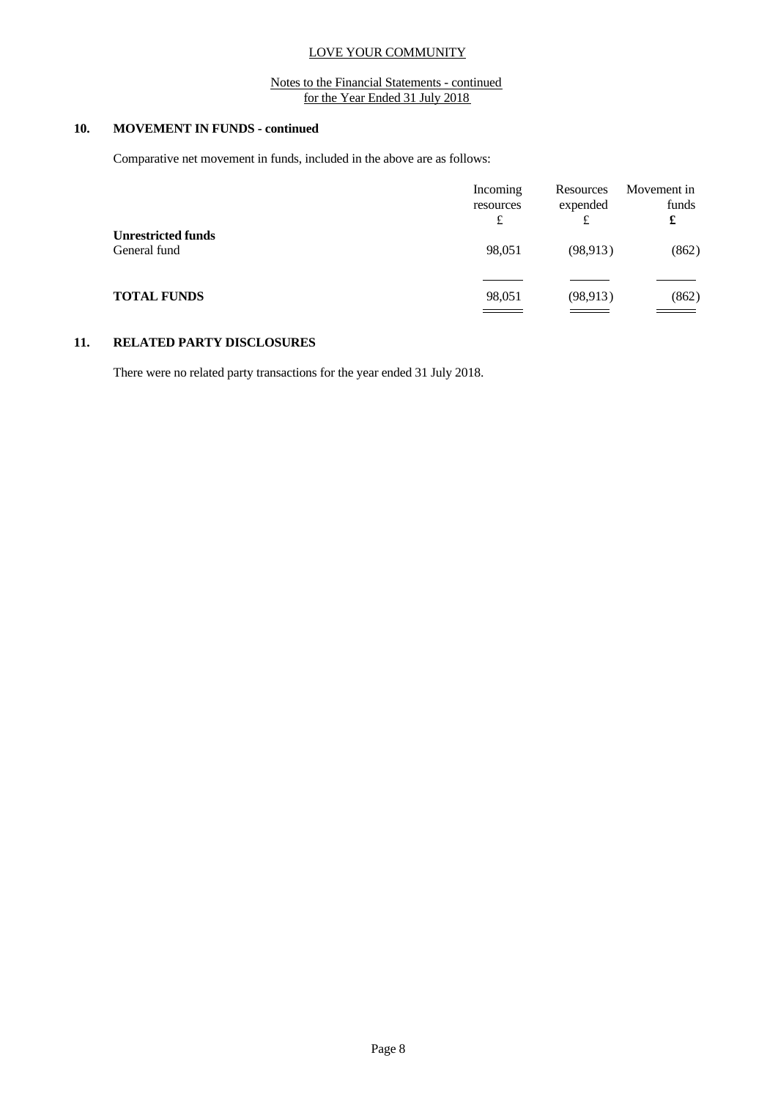## Notes to the Financial Statements - continued for the Year Ended 31 July 2018

# **10. MOVEMENT IN FUNDS - continued**

Comparative net movement in funds, included in the above are as follows:

|                                           | Incoming                     | Resources | Movement in |
|-------------------------------------------|------------------------------|-----------|-------------|
|                                           | resources                    | expended  | funds       |
|                                           | £                            | £         | £           |
| <b>Unrestricted funds</b><br>General fund | 98,051                       | (98, 913) | (862)       |
| <b>TOTAL FUNDS</b>                        | 98,051                       | (98, 913) | (862)       |
|                                           | <u> Albanya di Santana a</u> |           |             |

### **11. RELATED PARTY DISCLOSURES**

There were no related party transactions for the year ended 31 July 2018.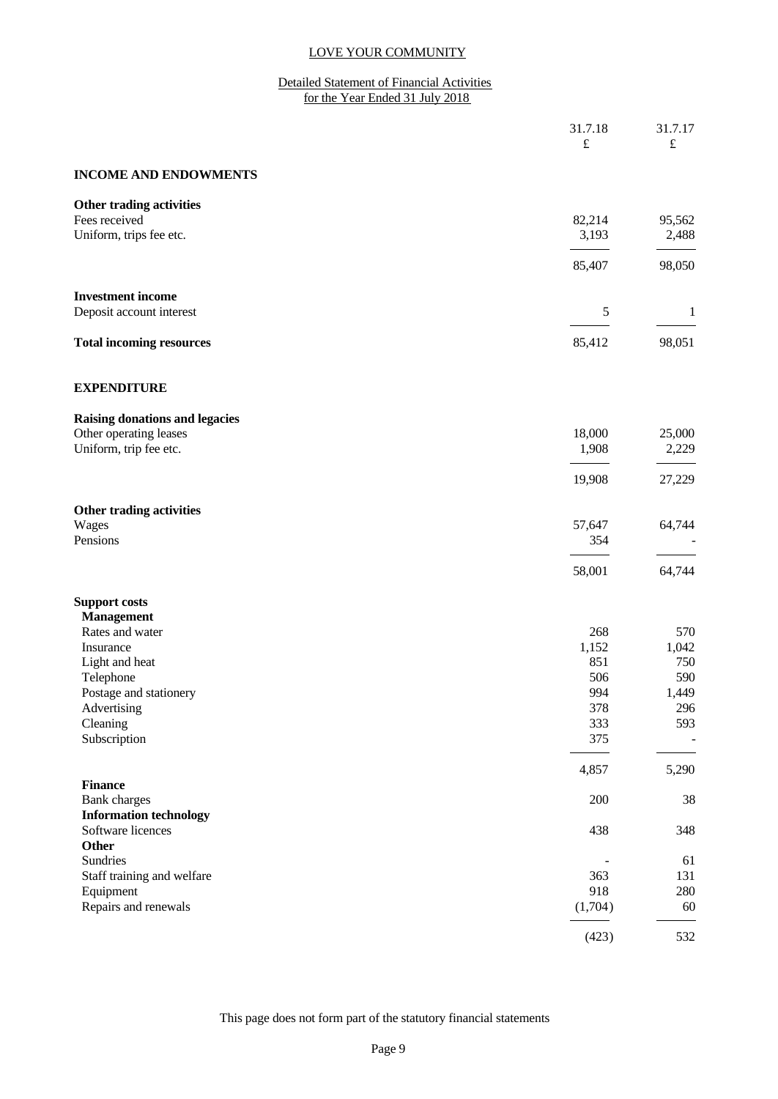### Detailed Statement of Financial Activities for the Year Ended 31 July 2018

| 31.7.18<br>$\pounds$                         | 31.7.17<br>$\pounds$ |
|----------------------------------------------|----------------------|
| <b>INCOME AND ENDOWMENTS</b>                 |                      |
| Other trading activities                     |                      |
| Fees received<br>82,214                      | 95,562               |
| Uniform, trips fee etc.<br>3,193             | 2,488                |
| 85,407                                       | 98,050               |
| <b>Investment income</b>                     |                      |
| Deposit account interest<br>$\sqrt{5}$       | $\mathbf{1}$         |
| 85,412<br><b>Total incoming resources</b>    | 98,051               |
| <b>EXPENDITURE</b>                           |                      |
| <b>Raising donations and legacies</b>        |                      |
| Other operating leases<br>18,000             | 25,000               |
| Uniform, trip fee etc.<br>1,908              | 2,229                |
| 19,908                                       | 27,229               |
| Other trading activities                     |                      |
| Wages<br>57,647                              | 64,744               |
| Pensions<br>354                              |                      |
| 58,001                                       | 64,744               |
| <b>Support costs</b>                         |                      |
| <b>Management</b>                            |                      |
| Rates and water<br>268                       | 570                  |
| 1,152<br>Insurance                           | 1,042                |
| 851<br>Light and heat                        | 750                  |
| Telephone<br>506                             | 590                  |
| 994<br>Postage and stationery                | 1,449                |
| Advertising<br>378                           | 296                  |
| Cleaning<br>333                              | 593                  |
| 375<br>Subscription                          |                      |
| 4,857                                        | 5,290                |
| <b>Finance</b><br>200<br><b>Bank</b> charges | $38\,$               |
| <b>Information technology</b>                |                      |
| Software licences<br>438                     | 348                  |
| <b>Other</b>                                 |                      |
| Sundries                                     | 61                   |
| 363<br>Staff training and welfare            | 131                  |
| 918<br>Equipment                             | 280                  |
| Repairs and renewals<br>(1,704)              | 60                   |
| (423)                                        | 532                  |

This page does not form part of the statutory financial statements